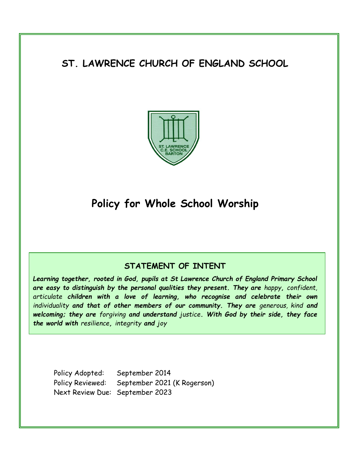# **ST. LAWRENCE CHURCH OF ENGLAND SCHOOL**



# **Policy for Whole School Worship**

# **STATEMENT OF INTENT**

*Learning together, rooted in God, pupils at St Lawrence Church of England Primary School are easy to distinguish by the personal qualities they present. They are happy, confident, articulate children with a love of learning, who recognise and celebrate their own*  individuality and that of other members of our community. They are generous, kind and *welcoming; they are forgiving and understand justice. With God by their side, they face the world with resilience, integrity and joy*

Policy Adopted: September 2014 Policy Reviewed: September 2021 (K Rogerson) Next Review Due: September 2023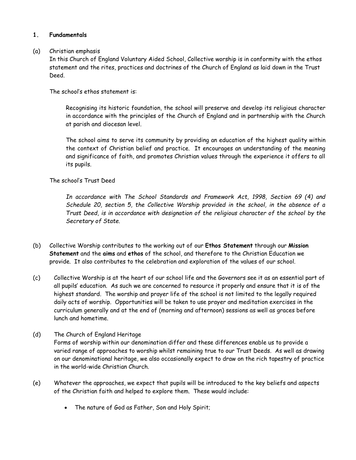# **1. Fundamentals**

#### (a) Christian emphasis

In this Church of England Voluntary Aided School, Collective worship is in conformity with the ethos statement and the rites, practices and doctrines of the Church of England as laid down in the Trust Deed.

The school's ethos statement is:

Recognising its historic foundation, the school will preserve and develop its religious character in accordance with the principles of the Church of England and in partnership with the Church at parish and diocesan level.

The school aims to serve its community by providing an education of the highest quality within the context of Christian belief and practice. It encourages an understanding of the meaning and significance of faith, and promotes Christian values through the experience it offers to all its pupils.

# The school's Trust Deed

*In accordance with The School Standards and Framework Act, 1998, Section 69 (4) and Schedule 20, section 5, the Collective Worship provided in the school, in the absence of a Trust Deed, is in accordance with designation of the religious character of the school by the Secretary of State.*

- (b) Collective Worship contributes to the working out of our **Ethos Statement** through our **Mission Statement** and the **aims** and **ethos** of the school, and therefore to the Christian Education we provide. It also contributes to the celebration and exploration of the values of our school.
- (c) Collective Worship is at the heart of our school life and the Governors see it as an essential part of all pupils' education. As such we are concerned to resource it properly and ensure that it is of the highest standard. The worship and prayer life of the school is not limited to the legally required daily acts of worship. Opportunities will be taken to use prayer and meditation exercises in the curriculum generally and at the end of (morning and afternoon) sessions as well as graces before lunch and hometime.
- (d) The Church of England Heritage Forms of worship within our denomination differ and these differences enable us to provide a varied range of approaches to worship whilst remaining true to our Trust Deeds. As well as drawing on our denominational heritage, we also occasionally expect to draw on the rich tapestry of practice in the world-wide Christian Church.
- (e) Whatever the approaches, we expect that pupils will be introduced to the key beliefs and aspects of the Christian faith and helped to explore them. These would include:
	- The nature of God as Father, Son and Holy Spirit;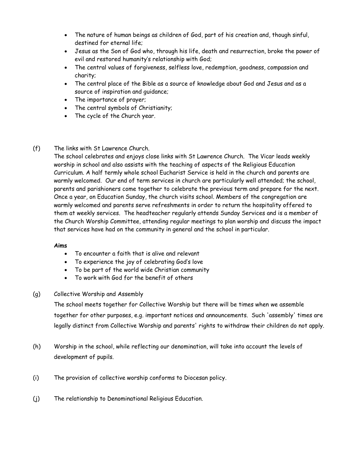- The nature of human beings as children of God, part of his creation and, though sinful, destined for eternal life;
- Jesus as the Son of God who, through his life, death and resurrection, broke the power of evil and restored humanity's relationship with God;
- The central values of forgiveness, selfless love, redemption, goodness, compassion and charity;
- The central place of the Bible as a source of knowledge about God and Jesus and as a source of inspiration and guidance;
- The importance of prayer;
- The central symbols of Christianity;
- The cycle of the Church year.
- (f) The links with St Lawrence Church.

The school celebrates and enjoys close links with St Lawrence Church. The Vicar leads weekly worship in school and also assists with the teaching of aspects of the Religious Education Curriculum. A half termly whole school Eucharist Service is held in the church and parents are warmly welcomed. Our end of term services in church are particularly well attended; the school, parents and parishioners come together to celebrate the previous term and prepare for the next. Once a year, on Education Sunday, the church visits school. Members of the congregation are warmly welcomed and parents serve refreshments in order to return the hospitality offered to them at weekly services. The headteacher regularly attends Sunday Services and is a member of the Church Worship Committee, attending regular meetings to plan worship and discuss the impact that services have had on the community in general and the school in particular.

# **Aims**

- To encounter a faith that is alive and relevant
- To experience the joy of celebrating God's love
- To be part of the world wide Christian community
- To work with God for the benefit of others
- (g) Collective Worship and Assembly

The school meets together for Collective Worship but there will be times when we assemble together for other purposes, e.g. important notices and announcements. Such 'assembly' times are legally distinct from Collective Worship and parents' rights to withdraw their children do not apply.

- (h) Worship in the school, while reflecting our denomination, will take into account the levels of development of pupils.
- (i) The provision of collective worship conforms to Diocesan policy.
- (j) The relationship to Denominational Religious Education.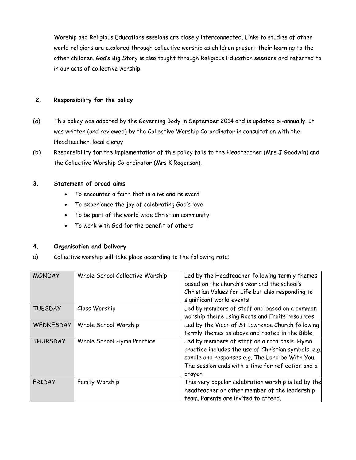Worship and Religious Educations sessions are closely interconnected. Links to studies of other world religions are explored through collective worship as children present their learning to the other children. God's Big Story is also taught through Religious Education sessions and referred to in our acts of collective worship.

### **2. Responsibility for the policy**

- (a) This policy was adopted by the Governing Body in September 2014 and is updated bi-annually. It was written (and reviewed) by the Collective Worship Co-ordinator in consultation with the Headteacher, local clergy
- (b) Responsibility for the implementation of this policy falls to the Headteacher (Mrs J Goodwin) and the Collective Worship Co-ordinator (Mrs K Rogerson).

#### **3. Statement of broad aims**

- To encounter a faith that is alive and relevant
- To experience the joy of celebrating God's love
- To be part of the world wide Christian community
- To work with God for the benefit of others

# **4. Organisation and Delivery**

a) Collective worship will take place according to the following rota:

| <b>MONDAY</b>   | Whole School Collective Worship | Led by the Headteacher following termly themes<br>based on the church's year and the school's<br>Christian Values for Life but also responding to<br>significant world events                                            |
|-----------------|---------------------------------|--------------------------------------------------------------------------------------------------------------------------------------------------------------------------------------------------------------------------|
| <b>TUESDAY</b>  | Class Worship                   | Led by members of staff and based on a common<br>worship theme using Roots and Fruits resources                                                                                                                          |
| WEDNESDAY       | Whole School Worship            | Led by the Vicar of St Lawrence Church following<br>termly themes as above and rooted in the Bible.                                                                                                                      |
| <b>THURSDAY</b> | Whole School Hymn Practice      | Led by members of staff on a rota basis. Hymn<br>practice includes the use of Christian symbols, e.g.<br>candle and responses e.g. The Lord be With You.<br>The session ends with a time for reflection and a<br>prayer. |
| <b>FRIDAY</b>   | Family Worship                  | This very popular celebration worship is led by the<br>headteacher or other member of the leadership<br>team. Parents are invited to attend.                                                                             |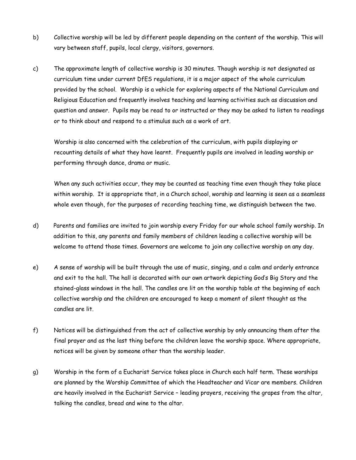- b) Collective worship will be led by different people depending on the content of the worship. This will vary between staff, pupils, local clergy, visitors, governors.
- c) The approximate length of collective worship is 30 minutes. Though worship is not designated as curriculum time under current DfES regulations, it is a major aspect of the whole curriculum provided by the school. Worship is a vehicle for exploring aspects of the National Curriculum and Religious Education and frequently involves teaching and learning activities such as discussion and question and answer. Pupils may be read to or instructed or they may be asked to listen to readings or to think about and respond to a stimulus such as a work of art.

Worship is also concerned with the celebration of the curriculum, with pupils displaying or recounting details of what they have learnt. Frequently pupils are involved in leading worship or performing through dance, drama or music.

When any such activities occur, they may be counted as teaching time even though they take place within worship. It is appropriate that, in a Church school, worship and learning is seen as a seamless whole even though, for the purposes of recording teaching time, we distinguish between the two.

- d) Parents and families are invited to join worship every Friday for our whole school family worship. In addition to this, any parents and family members of children leading a collective worship will be welcome to attend those times. Governors are welcome to join any collective worship on any day.
- e) A sense of worship will be built through the use of music, singing, and a calm and orderly entrance and exit to the hall. The hall is decorated with our own artwork depicting God's Big Story and the stained-glass windows in the hall. The candles are lit on the worship table at the beginning of each collective worship and the children are encouraged to keep a moment of silent thought as the candles are lit.
- f) Notices will be distinguished from the act of collective worship by only announcing them after the final prayer and as the last thing before the children leave the worship space. Where appropriate, notices will be given by someone other than the worship leader.
- g) Worship in the form of a Eucharist Service takes place in Church each half term. These worships are planned by the Worship Committee of which the Headteacher and Vicar are members. Children are heavily involved in the Eucharist Service – leading prayers, receiving the grapes from the altar, talking the candles, bread and wine to the altar.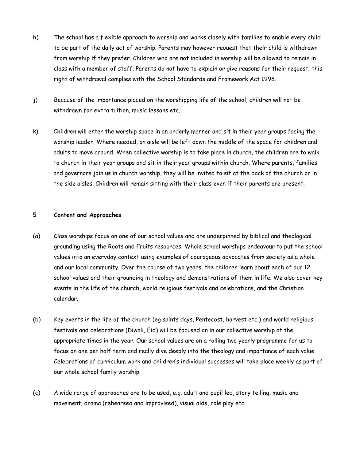- h) The school has a flexible approach to worship and works closely with families to enable every child to be part of the daily act of worship. Parents may however request that their child is withdrawn from worship if they prefer. Children who are not included in worship will be allowed to remain in class with a member of staff. Parents do not have to explain or give reasons for their request; this right of withdrawal complies with the School Standards and Framework Act 1998.
- j) Because of the importance placed on the worshipping life of the school, children will not be withdrawn for extra tuition, music lessons etc.
- k) Children will enter the worship space in an orderly manner and sit in their year groups facing the worship leader. Where needed, an aisle will be left down the middle of the space for children and adults to move around. When collective worship is to take place in church, the children are to walk to church in their year groups and sit in their year groups within church. Where parents, families and governors join us in church worship, they will be invited to sit at the back of the church or in the side aisles. Children will remain sitting with their class even if their parents are present.

#### **5 Content and Approaches**

- (a) Class worships focus on one of our school values and are underpinned by biblical and theological grounding using the Roots and Fruits resources. Whole school worships endeavour to put the school values into an everyday context using examples of courageous advocates from society as a whole and our local community. Over the course of two years, the children learn about each of our 12 school values and their grounding in theology and demonstrations of them in life. We also cover key events in the life of the church, world religious festivals and celebrations, and the Christian calendar.
- (b) Key events in the life of the church (eg saints days, Pentecost, harvest etc.) and world religious festivals and celebrations (Diwali, Eid) will be focused on in our collective worship at the appropriate times in the year. Our school values are on a rolling two yearly programme for us to focus on one per half term and really dive deeply into the theology and importance of each value. Celebrations of curriculum work and children's individual successes will take place weekly as part of our whole school family worship.
- (c) A wide range of approaches are to be used, e.g. adult and pupil led, story telling, music and movement, drama (rehearsed and improvised), visual aids, role play etc.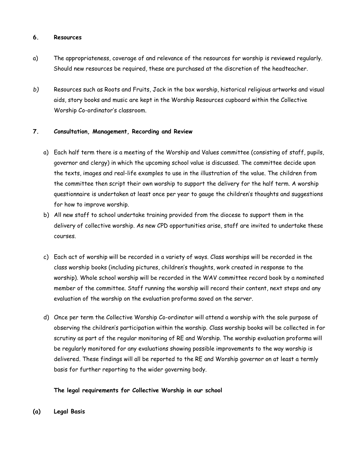#### **6. Resources**

- a) The appropriateness, coverage of and relevance of the resources for worship is reviewed regularly. Should new resources be required, these are purchased at the discretion of the headteacher.
- *b)* Resources such as Roots and Fruits, Jack in the box worship, historical religious artworks and visual aids, story books and music are kept in the Worship Resources cupboard within the Collective Worship Co-ordinator's classroom.

# **7. Consultation, Management, Recording and Review**

- a) Each half term there is a meeting of the Worship and Values committee (consisting of staff, pupils, governor and clergy) in which the upcoming school value is discussed. The committee decide upon the texts, images and real-life examples to use in the illustration of the value. The children from the committee then script their own worship to support the delivery for the half term. A worship questionnaire is undertaken at least once per year to gauge the children's thoughts and suggestions for how to improve worship.
- b) All new staff to school undertake training provided from the diocese to support them in the delivery of collective worship. As new CPD opportunities arise, staff are invited to undertake these courses.
- c) Each act of worship will be recorded in a variety of ways. Class worships will be recorded in the class worship books (including pictures, children's thoughts, work created in response to the worship). Whole school worship will be recorded in the WAV committee record book by a nominated member of the committee. Staff running the worship will record their content, next steps and any evaluation of the worship on the evaluation proforma saved on the server.
- d) Once per term the Collective Worship Co-ordinator will attend a worship with the sole purpose of observing the children's participation within the worship. Class worship books will be collected in for scrutiny as part of the regular monitoring of RE and Worship. The worship evaluation proforma will be regularly monitored for any evaluations showing possible improvements to the way worship is delivered. These findings will all be reported to the RE and Worship governor on at least a termly basis for further reporting to the wider governing body.

# **The legal requirements for Collective Worship in our school**

**(a) Legal Basis**